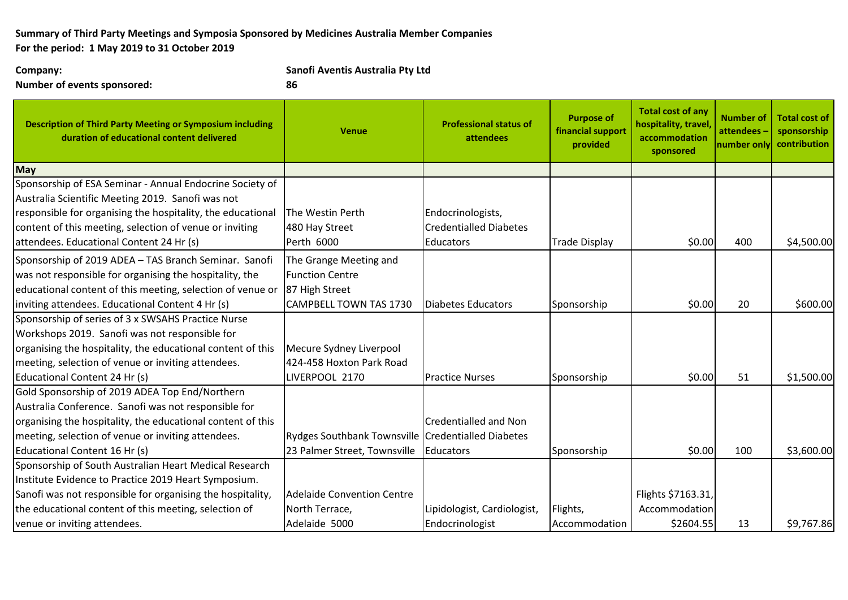## **Summary of Third Party Meetings and Symposia Sponsored by Medicines Australia Member Companies For the period: 1 May 2019 to 31 October 2019**

**Number of events sponsored: 86**

**Company: Sanofi Aventis Australia Pty Ltd**

| <b>Description of Third Party Meeting or Symposium including</b><br>duration of educational content delivered | <b>Venue</b>                                       | <b>Professional status of</b><br>attendees | <b>Purpose of</b><br>financial support<br>provided | <b>Total cost of any</b><br>hospitality, travel<br>accommodation<br>sponsored | <b>Number of</b><br>attendees<br>number only | <b>Total cost of</b><br>sponsorship<br>contribution |
|---------------------------------------------------------------------------------------------------------------|----------------------------------------------------|--------------------------------------------|----------------------------------------------------|-------------------------------------------------------------------------------|----------------------------------------------|-----------------------------------------------------|
| May                                                                                                           |                                                    |                                            |                                                    |                                                                               |                                              |                                                     |
| Sponsorship of ESA Seminar - Annual Endocrine Society of                                                      |                                                    |                                            |                                                    |                                                                               |                                              |                                                     |
| Australia Scientific Meeting 2019. Sanofi was not                                                             |                                                    |                                            |                                                    |                                                                               |                                              |                                                     |
| responsible for organising the hospitality, the educational                                                   | The Westin Perth                                   | Endocrinologists,                          |                                                    |                                                                               |                                              |                                                     |
| content of this meeting, selection of venue or inviting                                                       | 480 Hay Street                                     | <b>Credentialled Diabetes</b>              |                                                    |                                                                               |                                              |                                                     |
| attendees. Educational Content 24 Hr (s)                                                                      | Perth 6000                                         | <b>Educators</b>                           | <b>Trade Display</b>                               | \$0.00                                                                        | 400                                          | \$4,500.00                                          |
| Sponsorship of 2019 ADEA - TAS Branch Seminar. Sanofi                                                         | The Grange Meeting and                             |                                            |                                                    |                                                                               |                                              |                                                     |
| was not responsible for organising the hospitality, the                                                       | <b>Function Centre</b>                             |                                            |                                                    |                                                                               |                                              |                                                     |
| educational content of this meeting, selection of venue or                                                    | 87 High Street                                     |                                            |                                                    |                                                                               |                                              |                                                     |
| inviting attendees. Educational Content 4 Hr (s)                                                              | <b>CAMPBELL TOWN TAS 1730</b>                      | Diabetes Educators                         | Sponsorship                                        | \$0.00                                                                        | 20                                           | \$600.00                                            |
| Sponsorship of series of 3 x SWSAHS Practice Nurse                                                            |                                                    |                                            |                                                    |                                                                               |                                              |                                                     |
| Workshops 2019. Sanofi was not responsible for                                                                |                                                    |                                            |                                                    |                                                                               |                                              |                                                     |
| organising the hospitality, the educational content of this                                                   | Mecure Sydney Liverpool                            |                                            |                                                    |                                                                               |                                              |                                                     |
| meeting, selection of venue or inviting attendees.                                                            | 424-458 Hoxton Park Road                           |                                            |                                                    |                                                                               |                                              |                                                     |
| Educational Content 24 Hr (s)                                                                                 | LIVERPOOL 2170                                     | <b>Practice Nurses</b>                     | Sponsorship                                        | \$0.00                                                                        | 51                                           | \$1,500.00                                          |
| Gold Sponsorship of 2019 ADEA Top End/Northern                                                                |                                                    |                                            |                                                    |                                                                               |                                              |                                                     |
| Australia Conference. Sanofi was not responsible for                                                          |                                                    |                                            |                                                    |                                                                               |                                              |                                                     |
| organising the hospitality, the educational content of this                                                   |                                                    | <b>Credentialled and Non</b>               |                                                    |                                                                               |                                              |                                                     |
| meeting, selection of venue or inviting attendees.                                                            | Rydges Southbank Townsville Credentialled Diabetes |                                            |                                                    |                                                                               |                                              |                                                     |
| Educational Content 16 Hr (s)                                                                                 | 23 Palmer Street, Townsville                       | Educators                                  | Sponsorship                                        | \$0.00                                                                        | 100                                          | \$3,600.00                                          |
| Sponsorship of South Australian Heart Medical Research                                                        |                                                    |                                            |                                                    |                                                                               |                                              |                                                     |
| Institute Evidence to Practice 2019 Heart Symposium.                                                          |                                                    |                                            |                                                    |                                                                               |                                              |                                                     |
| Sanofi was not responsible for organising the hospitality,                                                    | <b>Adelaide Convention Centre</b>                  |                                            |                                                    | Flights \$7163.31,                                                            |                                              |                                                     |
| the educational content of this meeting, selection of                                                         | North Terrace,                                     | Lipidologist, Cardiologist,                | Flights,                                           | Accommodation                                                                 |                                              |                                                     |
| venue or inviting attendees.                                                                                  | Adelaide 5000                                      | Endocrinologist                            | Accommodation                                      | \$2604.55                                                                     | 13                                           | \$9,767.86                                          |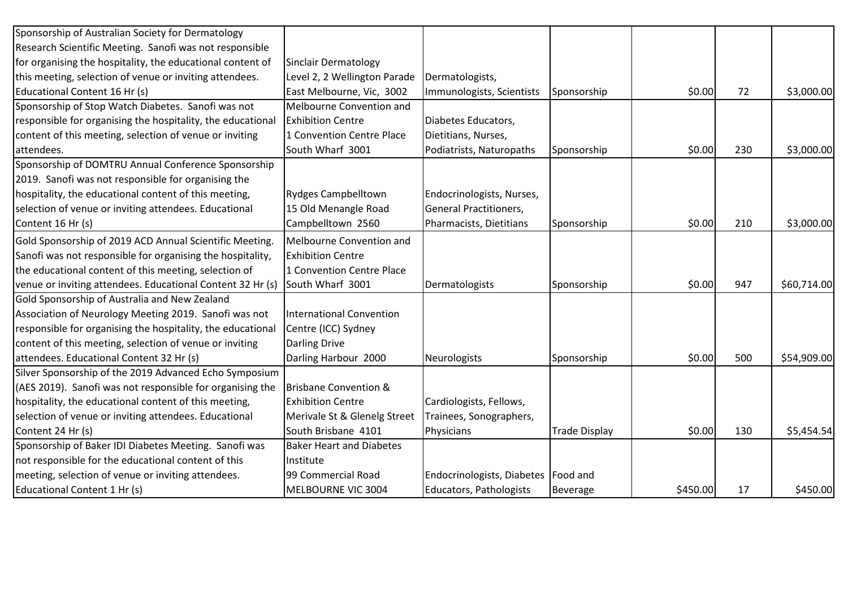| Sponsorship of Australian Society for Dermatology           |                                  |                                       |                      |          |     |             |
|-------------------------------------------------------------|----------------------------------|---------------------------------------|----------------------|----------|-----|-------------|
| Research Scientific Meeting. Sanofi was not responsible     |                                  |                                       |                      |          |     |             |
| for organising the hospitality, the educational content of  | <b>Sinclair Dermatology</b>      |                                       |                      |          |     |             |
| this meeting, selection of venue or inviting attendees.     | Level 2, 2 Wellington Parade     | Dermatologists,                       |                      |          |     |             |
| Educational Content 16 Hr (s)                               | East Melbourne, Vic, 3002        | Immunologists, Scientists             | Sponsorship          | \$0.00   | 72  | \$3,000.00  |
| Sponsorship of Stop Watch Diabetes. Sanofi was not          | Melbourne Convention and         |                                       |                      |          |     |             |
| responsible for organising the hospitality, the educational | <b>Exhibition Centre</b>         | Diabetes Educators,                   |                      |          |     |             |
| content of this meeting, selection of venue or inviting     | 1 Convention Centre Place        | Dietitians, Nurses,                   |                      |          |     |             |
| attendees.                                                  | South Wharf 3001                 | Podiatrists, Naturopaths              | Sponsorship          | \$0.00   | 230 | \$3,000.00  |
| Sponsorship of DOMTRU Annual Conference Sponsorship         |                                  |                                       |                      |          |     |             |
| 2019. Sanofi was not responsible for organising the         |                                  |                                       |                      |          |     |             |
| hospitality, the educational content of this meeting,       | <b>Rydges Campbelltown</b>       | Endocrinologists, Nurses,             |                      |          |     |             |
| selection of venue or inviting attendees. Educational       | 15 Old Menangle Road             | <b>General Practitioners,</b>         |                      |          |     |             |
| Content 16 Hr (s)                                           | Campbelltown 2560                | Pharmacists, Dietitians               | Sponsorship          | \$0.00   | 210 | \$3,000.00  |
| Gold Sponsorship of 2019 ACD Annual Scientific Meeting.     | Melbourne Convention and         |                                       |                      |          |     |             |
| Sanofi was not responsible for organising the hospitality,  | <b>Exhibition Centre</b>         |                                       |                      |          |     |             |
| the educational content of this meeting, selection of       | 1 Convention Centre Place        |                                       |                      |          |     |             |
| venue or inviting attendees. Educational Content 32 Hr (s)  | South Wharf 3001                 | Dermatologists                        | Sponsorship          | \$0.00   | 947 | \$60,714.00 |
| Gold Sponsorship of Australia and New Zealand               |                                  |                                       |                      |          |     |             |
| Association of Neurology Meeting 2019. Sanofi was not       | <b>International Convention</b>  |                                       |                      |          |     |             |
| responsible for organising the hospitality, the educational | Centre (ICC) Sydney              |                                       |                      |          |     |             |
| content of this meeting, selection of venue or inviting     | <b>Darling Drive</b>             |                                       |                      |          |     |             |
| attendees. Educational Content 32 Hr (s)                    | Darling Harbour 2000             | Neurologists                          | Sponsorship          | \$0.00   | 500 | \$54,909.00 |
| Silver Sponsorship of the 2019 Advanced Echo Symposium      |                                  |                                       |                      |          |     |             |
| (AES 2019). Sanofi was not responsible for organising the   | <b>Brisbane Convention &amp;</b> |                                       |                      |          |     |             |
| hospitality, the educational content of this meeting,       | <b>Exhibition Centre</b>         | Cardiologists, Fellows,               |                      |          |     |             |
| selection of venue or inviting attendees. Educational       | Merivale St & Glenelg Street     | Trainees, Sonographers,               |                      |          |     |             |
| Content 24 Hr (s)                                           | South Brisbane 4101              | Physicians                            | <b>Trade Display</b> | \$0.00   | 130 | \$5,454.54  |
| Sponsorship of Baker IDI Diabetes Meeting. Sanofi was       | <b>Baker Heart and Diabetes</b>  |                                       |                      |          |     |             |
| not responsible for the educational content of this         | Institute                        |                                       |                      |          |     |             |
| meeting, selection of venue or inviting attendees.          | 99 Commercial Road               | Endocrinologists, Diabetes   Food and |                      |          |     |             |
| Educational Content 1 Hr (s)                                | MELBOURNE VIC 3004               | Educators, Pathologists               | <b>Beverage</b>      | \$450.00 | 17  | \$450.00    |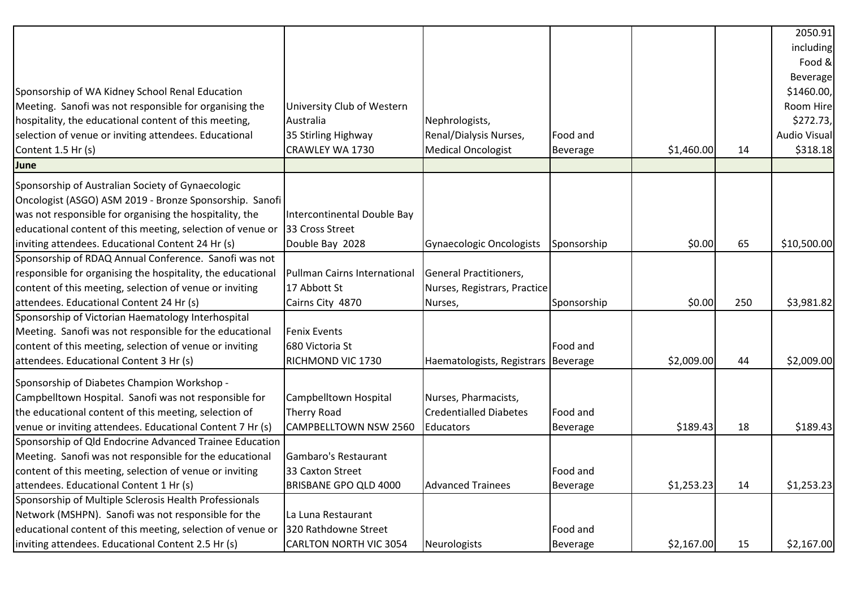|                                                             |                               |                               |                 |            |     | 2050.91             |
|-------------------------------------------------------------|-------------------------------|-------------------------------|-----------------|------------|-----|---------------------|
|                                                             |                               |                               |                 |            |     | including           |
|                                                             |                               |                               |                 |            |     | Food &              |
|                                                             |                               |                               |                 |            |     | Beverage            |
| Sponsorship of WA Kidney School Renal Education             |                               |                               |                 |            |     | \$1460.00,          |
| Meeting. Sanofi was not responsible for organising the      | University Club of Western    |                               |                 |            |     | Room Hire           |
| hospitality, the educational content of this meeting,       | Australia                     | Nephrologists,                |                 |            |     | \$272.73,           |
| selection of venue or inviting attendees. Educational       | 35 Stirling Highway           | Renal/Dialysis Nurses,        | Food and        |            |     | <b>Audio Visual</b> |
| Content 1.5 Hr (s)                                          | CRAWLEY WA 1730               | <b>Medical Oncologist</b>     | Beverage        | \$1,460.00 | 14  | \$318.18            |
| June                                                        |                               |                               |                 |            |     |                     |
| Sponsorship of Australian Society of Gynaecologic           |                               |                               |                 |            |     |                     |
| Oncologist (ASGO) ASM 2019 - Bronze Sponsorship. Sanofi     |                               |                               |                 |            |     |                     |
| was not responsible for organising the hospitality, the     | Intercontinental Double Bay   |                               |                 |            |     |                     |
| educational content of this meeting, selection of venue or  | 33 Cross Street               |                               |                 |            |     |                     |
| inviting attendees. Educational Content 24 Hr (s)           | Double Bay 2028               | Gynaecologic Oncologists      | Sponsorship     | \$0.00     | 65  | \$10,500.00         |
| Sponsorship of RDAQ Annual Conference. Sanofi was not       |                               |                               |                 |            |     |                     |
| responsible for organising the hospitality, the educational | Pullman Cairns International  | General Practitioners,        |                 |            |     |                     |
| content of this meeting, selection of venue or inviting     | 17 Abbott St                  | Nurses, Registrars, Practice  |                 |            |     |                     |
| attendees. Educational Content 24 Hr (s)                    | Cairns City 4870              | Nurses,                       | Sponsorship     | \$0.00     | 250 | \$3,981.82          |
| Sponsorship of Victorian Haematology Interhospital          |                               |                               |                 |            |     |                     |
| Meeting. Sanofi was not responsible for the educational     | <b>Fenix Events</b>           |                               |                 |            |     |                     |
| content of this meeting, selection of venue or inviting     | 680 Victoria St               |                               | Food and        |            |     |                     |
| attendees. Educational Content 3 Hr (s)                     | RICHMOND VIC 1730             | Haematologists, Registrars    | Beverage        | \$2,009.00 | 44  | \$2,009.00          |
| Sponsorship of Diabetes Champion Workshop -                 |                               |                               |                 |            |     |                     |
| Campbelltown Hospital. Sanofi was not responsible for       | Campbelltown Hospital         | Nurses, Pharmacists,          |                 |            |     |                     |
| the educational content of this meeting, selection of       | <b>Therry Road</b>            | <b>Credentialled Diabetes</b> | Food and        |            |     |                     |
| venue or inviting attendees. Educational Content 7 Hr (s)   | <b>CAMPBELLTOWN NSW 2560</b>  | <b>Educators</b>              | <b>Beverage</b> | \$189.43   | 18  | \$189.43            |
| Sponsorship of Qld Endocrine Advanced Trainee Education     |                               |                               |                 |            |     |                     |
| Meeting. Sanofi was not responsible for the educational     | Gambaro's Restaurant          |                               |                 |            |     |                     |
| content of this meeting, selection of venue or inviting     | 33 Caxton Street              |                               | Food and        |            |     |                     |
| attendees. Educational Content 1 Hr (s)                     | BRISBANE GPO QLD 4000         | <b>Advanced Trainees</b>      | Beverage        | \$1,253.23 | 14  | \$1,253.23          |
| Sponsorship of Multiple Sclerosis Health Professionals      |                               |                               |                 |            |     |                     |
| Network (MSHPN). Sanofi was not responsible for the         | La Luna Restaurant            |                               |                 |            |     |                     |
| educational content of this meeting, selection of venue or  | 320 Rathdowne Street          |                               | Food and        |            |     |                     |
| inviting attendees. Educational Content 2.5 Hr (s)          | <b>CARLTON NORTH VIC 3054</b> | Neurologists                  | <b>Beverage</b> | \$2,167.00 | 15  | \$2,167.00          |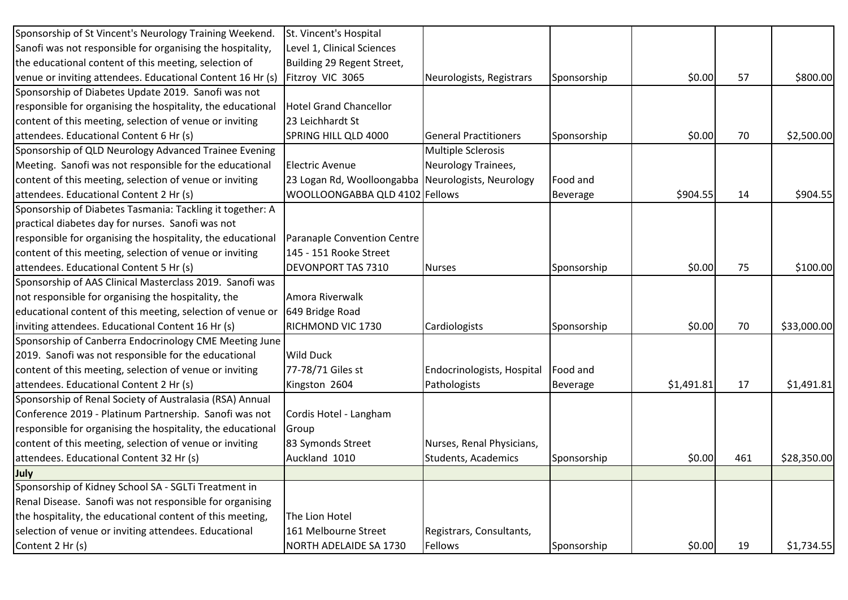| Sponsorship of St Vincent's Neurology Training Weekend.     | St. Vincent's Hospital                             |                              |                 |            |     |             |
|-------------------------------------------------------------|----------------------------------------------------|------------------------------|-----------------|------------|-----|-------------|
| Sanofi was not responsible for organising the hospitality,  | Level 1, Clinical Sciences                         |                              |                 |            |     |             |
| the educational content of this meeting, selection of       | Building 29 Regent Street,                         |                              |                 |            |     |             |
| venue or inviting attendees. Educational Content 16 Hr (s)  | Fitzroy VIC 3065                                   | Neurologists, Registrars     | Sponsorship     | \$0.00     | 57  | \$800.00    |
| Sponsorship of Diabetes Update 2019. Sanofi was not         |                                                    |                              |                 |            |     |             |
| responsible for organising the hospitality, the educational | <b>Hotel Grand Chancellor</b>                      |                              |                 |            |     |             |
| content of this meeting, selection of venue or inviting     | 23 Leichhardt St                                   |                              |                 |            |     |             |
| attendees. Educational Content 6 Hr (s)                     | SPRING HILL QLD 4000                               | <b>General Practitioners</b> | Sponsorship     | \$0.00     | 70  | \$2,500.00  |
| Sponsorship of QLD Neurology Advanced Trainee Evening       |                                                    | Multiple Sclerosis           |                 |            |     |             |
| Meeting. Sanofi was not responsible for the educational     | <b>Electric Avenue</b>                             | Neurology Trainees,          |                 |            |     |             |
| content of this meeting, selection of venue or inviting     | 23 Logan Rd, Woolloongabba Neurologists, Neurology |                              | Food and        |            |     |             |
| attendees. Educational Content 2 Hr (s)                     | WOOLLOONGABBA QLD 4102 Fellows                     |                              | <b>Beverage</b> | \$904.55   | 14  | \$904.55    |
| Sponsorship of Diabetes Tasmania: Tackling it together: A   |                                                    |                              |                 |            |     |             |
| practical diabetes day for nurses. Sanofi was not           |                                                    |                              |                 |            |     |             |
| responsible for organising the hospitality, the educational | Paranaple Convention Centre                        |                              |                 |            |     |             |
| content of this meeting, selection of venue or inviting     | 145 - 151 Rooke Street                             |                              |                 |            |     |             |
| attendees. Educational Content 5 Hr (s)                     | <b>DEVONPORT TAS 7310</b>                          | <b>Nurses</b>                | Sponsorship     | \$0.00     | 75  | \$100.00    |
| Sponsorship of AAS Clinical Masterclass 2019. Sanofi was    |                                                    |                              |                 |            |     |             |
| not responsible for organising the hospitality, the         | Amora Riverwalk                                    |                              |                 |            |     |             |
| educational content of this meeting, selection of venue or  | 649 Bridge Road                                    |                              |                 |            |     |             |
| inviting attendees. Educational Content 16 Hr (s)           | RICHMOND VIC 1730                                  | Cardiologists                | Sponsorship     | \$0.00     | 70  | \$33,000.00 |
| Sponsorship of Canberra Endocrinology CME Meeting June      |                                                    |                              |                 |            |     |             |
| 2019. Sanofi was not responsible for the educational        | <b>Wild Duck</b>                                   |                              |                 |            |     |             |
| content of this meeting, selection of venue or inviting     | 77-78/71 Giles st                                  | Endocrinologists, Hospital   | Food and        |            |     |             |
| attendees. Educational Content 2 Hr (s)                     | Kingston 2604                                      | Pathologists                 | <b>Beverage</b> | \$1,491.81 | 17  | \$1,491.81  |
| Sponsorship of Renal Society of Australasia (RSA) Annual    |                                                    |                              |                 |            |     |             |
| Conference 2019 - Platinum Partnership. Sanofi was not      | Cordis Hotel - Langham                             |                              |                 |            |     |             |
| responsible for organising the hospitality, the educational | Group                                              |                              |                 |            |     |             |
| content of this meeting, selection of venue or inviting     | 83 Symonds Street                                  | Nurses, Renal Physicians,    |                 |            |     |             |
| attendees. Educational Content 32 Hr (s)                    | Auckland 1010                                      | Students, Academics          | Sponsorship     | \$0.00     | 461 | \$28,350.00 |
| July                                                        |                                                    |                              |                 |            |     |             |
| Sponsorship of Kidney School SA - SGLTi Treatment in        |                                                    |                              |                 |            |     |             |
| Renal Disease. Sanofi was not responsible for organising    |                                                    |                              |                 |            |     |             |
| the hospitality, the educational content of this meeting,   | The Lion Hotel                                     |                              |                 |            |     |             |
| selection of venue or inviting attendees. Educational       | 161 Melbourne Street                               | Registrars, Consultants,     |                 |            |     |             |
| Content 2 Hr (s)                                            | NORTH ADELAIDE SA 1730                             | Fellows                      | Sponsorship     | \$0.00     | 19  | \$1,734.55  |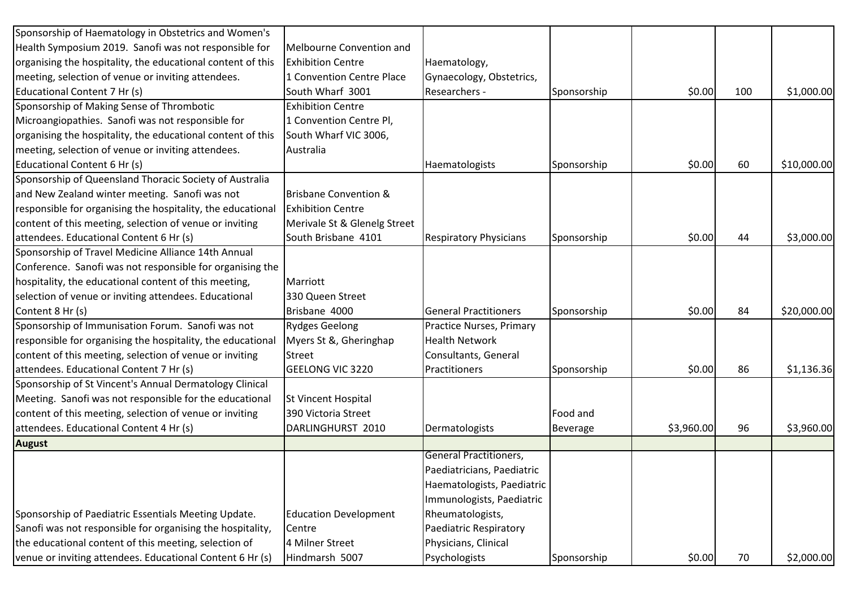| Sponsorship of Haematology in Obstetrics and Women's        |                                  |                               |                 |            |     |             |
|-------------------------------------------------------------|----------------------------------|-------------------------------|-----------------|------------|-----|-------------|
| Health Symposium 2019. Sanofi was not responsible for       | Melbourne Convention and         |                               |                 |            |     |             |
| organising the hospitality, the educational content of this | <b>Exhibition Centre</b>         | Haematology,                  |                 |            |     |             |
| meeting, selection of venue or inviting attendees.          | 1 Convention Centre Place        | Gynaecology, Obstetrics,      |                 |            |     |             |
| Educational Content 7 Hr (s)                                | South Wharf 3001                 | Researchers -                 | Sponsorship     | \$0.00     | 100 | \$1,000.00  |
| Sponsorship of Making Sense of Thrombotic                   | <b>Exhibition Centre</b>         |                               |                 |            |     |             |
| Microangiopathies. Sanofi was not responsible for           | 1 Convention Centre Pl,          |                               |                 |            |     |             |
| organising the hospitality, the educational content of this | South Wharf VIC 3006,            |                               |                 |            |     |             |
| meeting, selection of venue or inviting attendees.          | Australia                        |                               |                 |            |     |             |
| Educational Content 6 Hr (s)                                |                                  | Haematologists                | Sponsorship     | \$0.00     | 60  | \$10,000.00 |
| Sponsorship of Queensland Thoracic Society of Australia     |                                  |                               |                 |            |     |             |
| and New Zealand winter meeting. Sanofi was not              | <b>Brisbane Convention &amp;</b> |                               |                 |            |     |             |
| responsible for organising the hospitality, the educational | <b>Exhibition Centre</b>         |                               |                 |            |     |             |
| content of this meeting, selection of venue or inviting     | Merivale St & Glenelg Street     |                               |                 |            |     |             |
| attendees. Educational Content 6 Hr (s)                     | South Brisbane 4101              | <b>Respiratory Physicians</b> | Sponsorship     | \$0.00     | 44  | \$3,000.00  |
| Sponsorship of Travel Medicine Alliance 14th Annual         |                                  |                               |                 |            |     |             |
| Conference. Sanofi was not responsible for organising the   |                                  |                               |                 |            |     |             |
| hospitality, the educational content of this meeting,       | Marriott                         |                               |                 |            |     |             |
| selection of venue or inviting attendees. Educational       | 330 Queen Street                 |                               |                 |            |     |             |
| Content 8 Hr (s)                                            | Brisbane 4000                    | <b>General Practitioners</b>  | Sponsorship     | \$0.00     | 84  | \$20,000.00 |
| Sponsorship of Immunisation Forum. Sanofi was not           | <b>Rydges Geelong</b>            | Practice Nurses, Primary      |                 |            |     |             |
| responsible for organising the hospitality, the educational | Myers St &, Gheringhap           | <b>Health Network</b>         |                 |            |     |             |
| content of this meeting, selection of venue or inviting     | <b>Street</b>                    | Consultants, General          |                 |            |     |             |
| attendees. Educational Content 7 Hr (s)                     | <b>GEELONG VIC 3220</b>          | Practitioners                 | Sponsorship     | \$0.00     | 86  | \$1,136.36  |
| Sponsorship of St Vincent's Annual Dermatology Clinical     |                                  |                               |                 |            |     |             |
| Meeting. Sanofi was not responsible for the educational     | St Vincent Hospital              |                               |                 |            |     |             |
| content of this meeting, selection of venue or inviting     | 390 Victoria Street              |                               | Food and        |            |     |             |
| attendees. Educational Content 4 Hr (s)                     | DARLINGHURST 2010                | Dermatologists                | <b>Beverage</b> | \$3,960.00 | 96  | \$3,960.00  |
| <b>August</b>                                               |                                  |                               |                 |            |     |             |
|                                                             |                                  | <b>General Practitioners,</b> |                 |            |     |             |
|                                                             |                                  | Paediatricians, Paediatric    |                 |            |     |             |
|                                                             |                                  | Haematologists, Paediatric    |                 |            |     |             |
|                                                             |                                  | Immunologists, Paediatric     |                 |            |     |             |
| Sponsorship of Paediatric Essentials Meeting Update.        | <b>Education Development</b>     | Rheumatologists,              |                 |            |     |             |
| Sanofi was not responsible for organising the hospitality,  | Centre                           | Paediatric Respiratory        |                 |            |     |             |
| the educational content of this meeting, selection of       | 4 Milner Street                  | Physicians, Clinical          |                 |            |     |             |
| venue or inviting attendees. Educational Content 6 Hr (s)   | Hindmarsh 5007                   | Psychologists                 | Sponsorship     | \$0.00     | 70  | \$2,000.00  |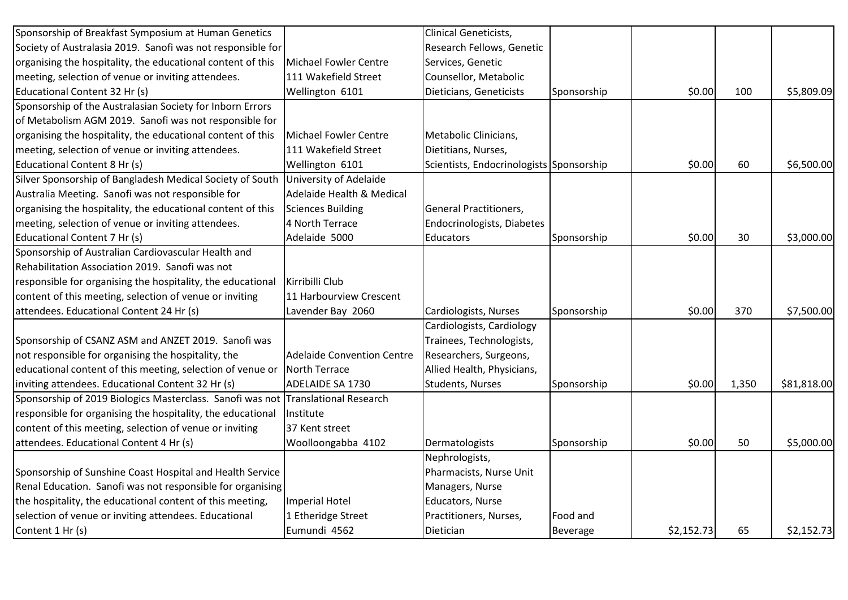| Sponsorship of Breakfast Symposium at Human Genetics        |                                   | <b>Clinical Geneticists,</b>             |                 |            |       |             |
|-------------------------------------------------------------|-----------------------------------|------------------------------------------|-----------------|------------|-------|-------------|
| Society of Australasia 2019. Sanofi was not responsible for |                                   | Research Fellows, Genetic                |                 |            |       |             |
| organising the hospitality, the educational content of this | Michael Fowler Centre             | Services, Genetic                        |                 |            |       |             |
| meeting, selection of venue or inviting attendees.          | 111 Wakefield Street              | Counsellor, Metabolic                    |                 |            |       |             |
| Educational Content 32 Hr (s)                               | Wellington 6101                   | Dieticians, Geneticists                  | Sponsorship     | \$0.00     | 100   | \$5,809.09  |
| Sponsorship of the Australasian Society for Inborn Errors   |                                   |                                          |                 |            |       |             |
| of Metabolism AGM 2019. Sanofi was not responsible for      |                                   |                                          |                 |            |       |             |
| organising the hospitality, the educational content of this | Michael Fowler Centre             | Metabolic Clinicians,                    |                 |            |       |             |
| meeting, selection of venue or inviting attendees.          | 111 Wakefield Street              | Dietitians, Nurses,                      |                 |            |       |             |
| Educational Content 8 Hr (s)                                | Wellington 6101                   | Scientists, Endocrinologists Sponsorship |                 | \$0.00     | 60    | \$6,500.00  |
| Silver Sponsorship of Bangladesh Medical Society of South   | University of Adelaide            |                                          |                 |            |       |             |
| Australia Meeting. Sanofi was not responsible for           | Adelaide Health & Medical         |                                          |                 |            |       |             |
| organising the hospitality, the educational content of this | <b>Sciences Building</b>          | General Practitioners,                   |                 |            |       |             |
| meeting, selection of venue or inviting attendees.          | 4 North Terrace                   | Endocrinologists, Diabetes               |                 |            |       |             |
| Educational Content 7 Hr (s)                                | Adelaide 5000                     | <b>Educators</b>                         | Sponsorship     | \$0.00     | 30    | \$3,000.00  |
| Sponsorship of Australian Cardiovascular Health and         |                                   |                                          |                 |            |       |             |
| Rehabilitation Association 2019. Sanofi was not             |                                   |                                          |                 |            |       |             |
| responsible for organising the hospitality, the educational | Kirribilli Club                   |                                          |                 |            |       |             |
| content of this meeting, selection of venue or inviting     | 11 Harbourview Crescent           |                                          |                 |            |       |             |
| attendees. Educational Content 24 Hr (s)                    | Lavender Bay 2060                 | Cardiologists, Nurses                    | Sponsorship     | \$0.00     | 370   | \$7,500.00  |
|                                                             |                                   | Cardiologists, Cardiology                |                 |            |       |             |
| Sponsorship of CSANZ ASM and ANZET 2019. Sanofi was         |                                   | Trainees, Technologists,                 |                 |            |       |             |
| not responsible for organising the hospitality, the         | <b>Adelaide Convention Centre</b> | Researchers, Surgeons,                   |                 |            |       |             |
| educational content of this meeting, selection of venue or  | North Terrace                     | Allied Health, Physicians,               |                 |            |       |             |
| inviting attendees. Educational Content 32 Hr (s)           | <b>ADELAIDE SA 1730</b>           | Students, Nurses                         | Sponsorship     | \$0.00     | 1,350 | \$81,818.00 |
| Sponsorship of 2019 Biologics Masterclass. Sanofi was not   | Translational Research            |                                          |                 |            |       |             |
| responsible for organising the hospitality, the educational | Institute                         |                                          |                 |            |       |             |
| content of this meeting, selection of venue or inviting     | 37 Kent street                    |                                          |                 |            |       |             |
| attendees. Educational Content 4 Hr (s)                     | Woolloongabba 4102                | Dermatologists                           | Sponsorship     | \$0.00     | 50    | \$5,000.00  |
|                                                             |                                   | Nephrologists,                           |                 |            |       |             |
| Sponsorship of Sunshine Coast Hospital and Health Service   |                                   | Pharmacists, Nurse Unit                  |                 |            |       |             |
| Renal Education. Sanofi was not responsible for organising  |                                   | Managers, Nurse                          |                 |            |       |             |
| the hospitality, the educational content of this meeting,   | <b>Imperial Hotel</b>             | Educators, Nurse                         |                 |            |       |             |
| selection of venue or inviting attendees. Educational       | 1 Etheridge Street                | Practitioners, Nurses,                   | Food and        |            |       |             |
| Content 1 Hr (s)                                            | Eumundi 4562                      | Dietician                                | <b>Beverage</b> | \$2,152.73 | 65    | \$2,152.73  |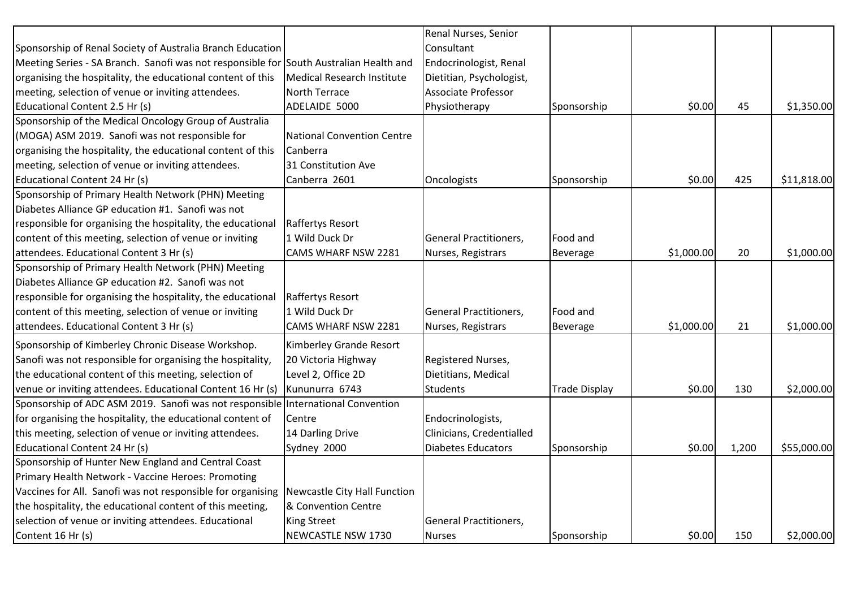|                                                                                        |                                   | Renal Nurses, Senior      |                      |            |       |             |
|----------------------------------------------------------------------------------------|-----------------------------------|---------------------------|----------------------|------------|-------|-------------|
| Sponsorship of Renal Society of Australia Branch Education                             |                                   | Consultant                |                      |            |       |             |
| Meeting Series - SA Branch. Sanofi was not responsible for South Australian Health and |                                   | Endocrinologist, Renal    |                      |            |       |             |
| organising the hospitality, the educational content of this                            | <b>Medical Research Institute</b> | Dietitian, Psychologist,  |                      |            |       |             |
| meeting, selection of venue or inviting attendees.                                     | North Terrace                     | Associate Professor       |                      |            |       |             |
| Educational Content 2.5 Hr (s)                                                         | ADELAIDE 5000                     | Physiotherapy             | Sponsorship          | \$0.00     | 45    | \$1,350.00  |
| Sponsorship of the Medical Oncology Group of Australia                                 |                                   |                           |                      |            |       |             |
| (MOGA) ASM 2019. Sanofi was not responsible for                                        | <b>National Convention Centre</b> |                           |                      |            |       |             |
| organising the hospitality, the educational content of this                            | Canberra                          |                           |                      |            |       |             |
| meeting, selection of venue or inviting attendees.                                     | 31 Constitution Ave               |                           |                      |            |       |             |
| Educational Content 24 Hr (s)                                                          | Canberra 2601                     | Oncologists               | Sponsorship          | \$0.00     | 425   | \$11,818.00 |
| Sponsorship of Primary Health Network (PHN) Meeting                                    |                                   |                           |                      |            |       |             |
| Diabetes Alliance GP education #1. Sanofi was not                                      |                                   |                           |                      |            |       |             |
| responsible for organising the hospitality, the educational                            | <b>Raffertys Resort</b>           |                           |                      |            |       |             |
| content of this meeting, selection of venue or inviting                                | 1 Wild Duck Dr                    | General Practitioners,    | Food and             |            |       |             |
| attendees. Educational Content 3 Hr (s)                                                | CAMS WHARF NSW 2281               | Nurses, Registrars        | Beverage             | \$1,000.00 | 20    | \$1,000.00  |
| Sponsorship of Primary Health Network (PHN) Meeting                                    |                                   |                           |                      |            |       |             |
| Diabetes Alliance GP education #2. Sanofi was not                                      |                                   |                           |                      |            |       |             |
| responsible for organising the hospitality, the educational                            | Raffertys Resort                  |                           |                      |            |       |             |
| content of this meeting, selection of venue or inviting                                | 1 Wild Duck Dr                    | General Practitioners,    | Food and             |            |       |             |
| attendees. Educational Content 3 Hr (s)                                                | <b>CAMS WHARF NSW 2281</b>        | Nurses, Registrars        | <b>Beverage</b>      | \$1,000.00 | 21    | \$1,000.00  |
| Sponsorship of Kimberley Chronic Disease Workshop.                                     | Kimberley Grande Resort           |                           |                      |            |       |             |
| Sanofi was not responsible for organising the hospitality,                             | 20 Victoria Highway               | Registered Nurses,        |                      |            |       |             |
| the educational content of this meeting, selection of                                  | Level 2, Office 2D                | Dietitians, Medical       |                      |            |       |             |
| venue or inviting attendees. Educational Content 16 Hr (s)                             | Kununurra 6743                    | <b>Students</b>           | <b>Trade Display</b> | \$0.00     | 130   | \$2,000.00  |
| Sponsorship of ADC ASM 2019. Sanofi was not responsible International Convention       |                                   |                           |                      |            |       |             |
| for organising the hospitality, the educational content of                             | Centre                            | Endocrinologists,         |                      |            |       |             |
| this meeting, selection of venue or inviting attendees.                                | 14 Darling Drive                  | Clinicians, Credentialled |                      |            |       |             |
| Educational Content 24 Hr (s)                                                          | Sydney 2000                       | Diabetes Educators        | Sponsorship          | \$0.00     | 1,200 | \$55,000.00 |
| Sponsorship of Hunter New England and Central Coast                                    |                                   |                           |                      |            |       |             |
| Primary Health Network - Vaccine Heroes: Promoting                                     |                                   |                           |                      |            |       |             |
| Vaccines for All. Sanofi was not responsible for organising                            | Newcastle City Hall Function      |                           |                      |            |       |             |
| the hospitality, the educational content of this meeting,                              | & Convention Centre               |                           |                      |            |       |             |
| selection of venue or inviting attendees. Educational                                  | King Street                       | General Practitioners,    |                      |            |       |             |
| Content 16 Hr (s)                                                                      | NEWCASTLE NSW 1730                | <b>Nurses</b>             | Sponsorship          | \$0.00     | 150   | \$2,000.00  |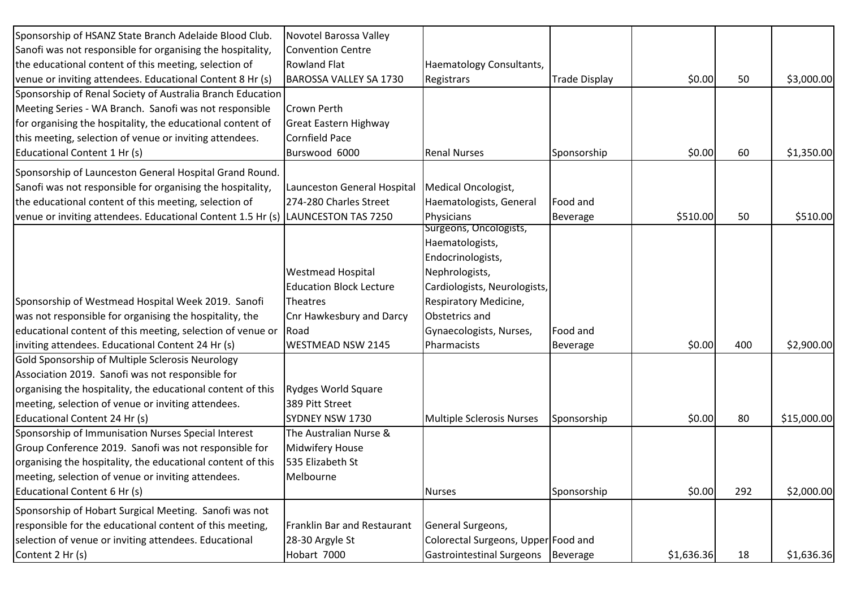| Sponsorship of HSANZ State Branch Adelaide Blood Club.      | Novotel Barossa Valley         |                                      |                      |            |     |             |
|-------------------------------------------------------------|--------------------------------|--------------------------------------|----------------------|------------|-----|-------------|
| Sanofi was not responsible for organising the hospitality,  | <b>Convention Centre</b>       |                                      |                      |            |     |             |
| the educational content of this meeting, selection of       | <b>Rowland Flat</b>            | Haematology Consultants,             |                      |            |     |             |
| venue or inviting attendees. Educational Content 8 Hr (s)   | <b>BAROSSA VALLEY SA 1730</b>  | Registrars                           | <b>Trade Display</b> | \$0.00     | 50  | \$3,000.00  |
| Sponsorship of Renal Society of Australia Branch Education  |                                |                                      |                      |            |     |             |
| Meeting Series - WA Branch. Sanofi was not responsible      | <b>Crown Perth</b>             |                                      |                      |            |     |             |
| for organising the hospitality, the educational content of  | <b>Great Eastern Highway</b>   |                                      |                      |            |     |             |
| this meeting, selection of venue or inviting attendees.     | <b>Cornfield Pace</b>          |                                      |                      |            |     |             |
| Educational Content 1 Hr (s)                                | Burswood 6000                  | <b>Renal Nurses</b>                  | Sponsorship          | \$0.00     | 60  | \$1,350.00  |
| Sponsorship of Launceston General Hospital Grand Round.     |                                |                                      |                      |            |     |             |
| Sanofi was not responsible for organising the hospitality,  | Launceston General Hospital    | Medical Oncologist,                  |                      |            |     |             |
| the educational content of this meeting, selection of       | 274-280 Charles Street         | Haematologists, General              | Food and             |            |     |             |
| venue or inviting attendees. Educational Content 1.5 Hr (s) | LAUNCESTON TAS 7250            | Physicians                           | <b>Beverage</b>      | \$510.00   | 50  | \$510.00    |
|                                                             |                                | Surgeons, Oncologists,               |                      |            |     |             |
|                                                             |                                | Haematologists,                      |                      |            |     |             |
|                                                             |                                | Endocrinologists,                    |                      |            |     |             |
|                                                             | <b>Westmead Hospital</b>       | Nephrologists,                       |                      |            |     |             |
|                                                             | <b>Education Block Lecture</b> | Cardiologists, Neurologists,         |                      |            |     |             |
| Sponsorship of Westmead Hospital Week 2019. Sanofi          | Theatres                       | Respiratory Medicine,                |                      |            |     |             |
| was not responsible for organising the hospitality, the     | Cnr Hawkesbury and Darcy       | Obstetrics and                       |                      |            |     |             |
| educational content of this meeting, selection of venue or  | Road                           | Gynaecologists, Nurses,              | Food and             |            |     |             |
| inviting attendees. Educational Content 24 Hr (s)           | <b>WESTMEAD NSW 2145</b>       | Pharmacists                          | <b>Beverage</b>      | \$0.00     | 400 | \$2,900.00  |
| Gold Sponsorship of Multiple Sclerosis Neurology            |                                |                                      |                      |            |     |             |
| Association 2019. Sanofi was not responsible for            |                                |                                      |                      |            |     |             |
| organising the hospitality, the educational content of this | <b>Rydges World Square</b>     |                                      |                      |            |     |             |
| meeting, selection of venue or inviting attendees.          | 389 Pitt Street                |                                      |                      |            |     |             |
| Educational Content 24 Hr (s)                               | SYDNEY NSW 1730                | <b>Multiple Sclerosis Nurses</b>     | Sponsorship          | \$0.00     | 80  | \$15,000.00 |
| Sponsorship of Immunisation Nurses Special Interest         | The Australian Nurse &         |                                      |                      |            |     |             |
| Group Conference 2019. Sanofi was not responsible for       | <b>Midwifery House</b>         |                                      |                      |            |     |             |
| organising the hospitality, the educational content of this | 535 Elizabeth St               |                                      |                      |            |     |             |
| meeting, selection of venue or inviting attendees.          | Melbourne                      |                                      |                      |            |     |             |
| Educational Content 6 Hr (s)                                |                                | <b>Nurses</b>                        | Sponsorship          | \$0.00     | 292 | \$2,000.00  |
| Sponsorship of Hobart Surgical Meeting. Sanofi was not      |                                |                                      |                      |            |     |             |
| responsible for the educational content of this meeting,    | Franklin Bar and Restaurant    | General Surgeons,                    |                      |            |     |             |
| selection of venue or inviting attendees. Educational       | 28-30 Argyle St                | Colorectal Surgeons, Upper Food and  |                      |            |     |             |
| Content 2 Hr (s)                                            | Hobart 7000                    | Gastrointestinal Surgeons   Beverage |                      | \$1,636.36 | 18  | \$1,636.36  |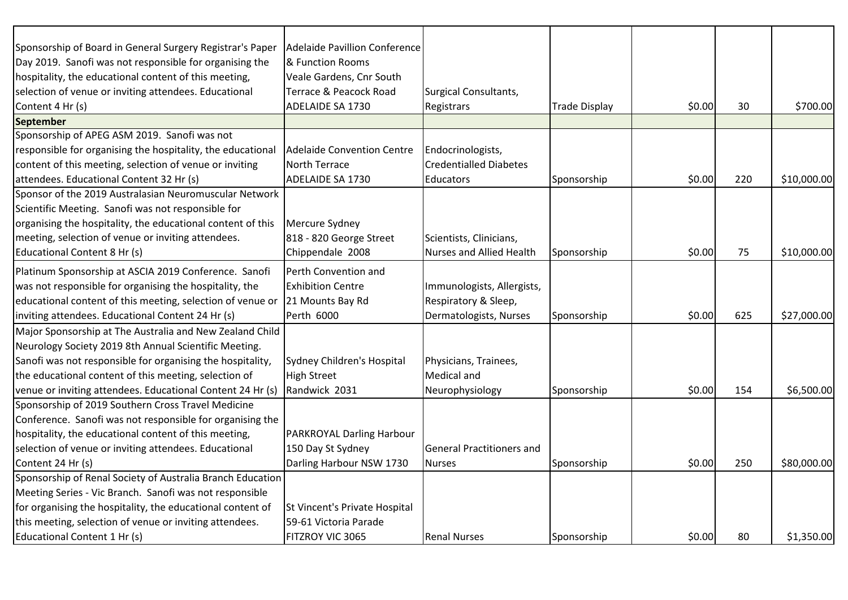| Sponsorship of Board in General Surgery Registrar's Paper   | Adelaide Pavillion Conference     |                                  |                      |        |     |             |
|-------------------------------------------------------------|-----------------------------------|----------------------------------|----------------------|--------|-----|-------------|
| Day 2019. Sanofi was not responsible for organising the     | & Function Rooms                  |                                  |                      |        |     |             |
| hospitality, the educational content of this meeting,       | Veale Gardens, Cnr South          |                                  |                      |        |     |             |
| selection of venue or inviting attendees. Educational       | Terrace & Peacock Road            | Surgical Consultants,            |                      |        |     |             |
| Content 4 Hr (s)                                            | ADELAIDE SA 1730                  | Registrars                       | <b>Trade Display</b> | \$0.00 | 30  | \$700.00    |
| <b>September</b>                                            |                                   |                                  |                      |        |     |             |
| Sponsorship of APEG ASM 2019. Sanofi was not                |                                   |                                  |                      |        |     |             |
| responsible for organising the hospitality, the educational | <b>Adelaide Convention Centre</b> | Endocrinologists,                |                      |        |     |             |
| content of this meeting, selection of venue or inviting     | North Terrace                     | <b>Credentialled Diabetes</b>    |                      |        |     |             |
| attendees. Educational Content 32 Hr (s)                    | ADELAIDE SA 1730                  | <b>Educators</b>                 | Sponsorship          | \$0.00 | 220 | \$10,000.00 |
| Sponsor of the 2019 Australasian Neuromuscular Network      |                                   |                                  |                      |        |     |             |
| Scientific Meeting. Sanofi was not responsible for          |                                   |                                  |                      |        |     |             |
| organising the hospitality, the educational content of this | Mercure Sydney                    |                                  |                      |        |     |             |
| meeting, selection of venue or inviting attendees.          | 818 - 820 George Street           | Scientists, Clinicians,          |                      |        |     |             |
| <b>Educational Content 8 Hr (s)</b>                         | Chippendale 2008                  | Nurses and Allied Health         | Sponsorship          | \$0.00 | 75  | \$10,000.00 |
| Platinum Sponsorship at ASCIA 2019 Conference. Sanofi       | Perth Convention and              |                                  |                      |        |     |             |
| was not responsible for organising the hospitality, the     | <b>Exhibition Centre</b>          | Immunologists, Allergists,       |                      |        |     |             |
| educational content of this meeting, selection of venue or  | 21 Mounts Bay Rd                  | Respiratory & Sleep,             |                      |        |     |             |
| inviting attendees. Educational Content 24 Hr (s)           | Perth 6000                        | Dermatologists, Nurses           | Sponsorship          | \$0.00 | 625 | \$27,000.00 |
| Major Sponsorship at The Australia and New Zealand Child    |                                   |                                  |                      |        |     |             |
| Neurology Society 2019 8th Annual Scientific Meeting.       |                                   |                                  |                      |        |     |             |
| Sanofi was not responsible for organising the hospitality,  | Sydney Children's Hospital        | Physicians, Trainees,            |                      |        |     |             |
| the educational content of this meeting, selection of       | <b>High Street</b>                | Medical and                      |                      |        |     |             |
| venue or inviting attendees. Educational Content 24 Hr (s)  | Randwick 2031                     | Neurophysiology                  | Sponsorship          | \$0.00 | 154 | \$6,500.00  |
| Sponsorship of 2019 Southern Cross Travel Medicine          |                                   |                                  |                      |        |     |             |
| Conference. Sanofi was not responsible for organising the   |                                   |                                  |                      |        |     |             |
| hospitality, the educational content of this meeting,       | PARKROYAL Darling Harbour         |                                  |                      |        |     |             |
| selection of venue or inviting attendees. Educational       | 150 Day St Sydney                 | <b>General Practitioners and</b> |                      |        |     |             |
| Content 24 Hr (s)                                           | Darling Harbour NSW 1730          | <b>Nurses</b>                    | Sponsorship          | \$0.00 | 250 | \$80,000.00 |
| Sponsorship of Renal Society of Australia Branch Education  |                                   |                                  |                      |        |     |             |
| Meeting Series - Vic Branch. Sanofi was not responsible     |                                   |                                  |                      |        |     |             |
| for organising the hospitality, the educational content of  | St Vincent's Private Hospital     |                                  |                      |        |     |             |
| this meeting, selection of venue or inviting attendees.     | 59-61 Victoria Parade             |                                  |                      |        |     |             |
| Educational Content 1 Hr (s)                                | FITZROY VIC 3065                  | <b>Renal Nurses</b>              | Sponsorship          | \$0.00 | 80  | \$1,350.00  |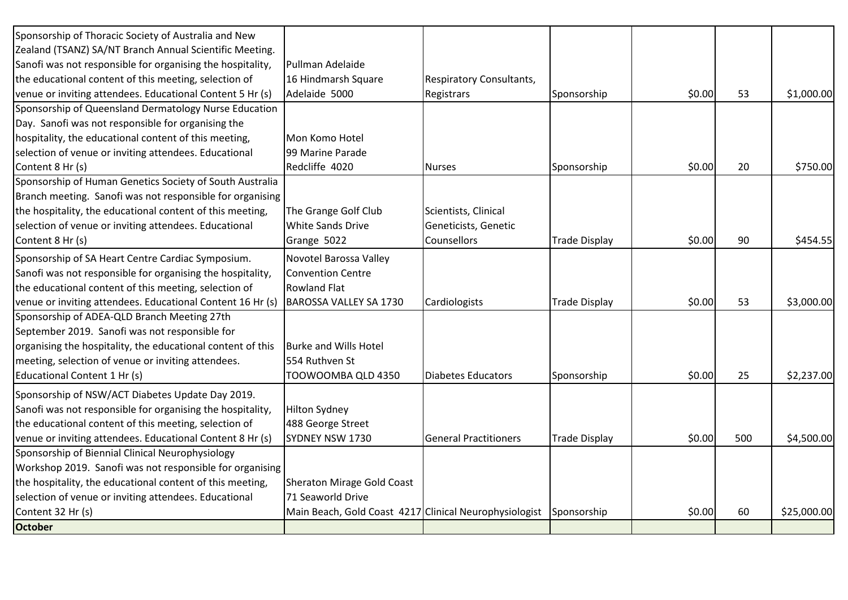| Sponsorship of Thoracic Society of Australia and New        |                                                        |                              |                      |        |     |             |
|-------------------------------------------------------------|--------------------------------------------------------|------------------------------|----------------------|--------|-----|-------------|
| Zealand (TSANZ) SA/NT Branch Annual Scientific Meeting.     |                                                        |                              |                      |        |     |             |
| Sanofi was not responsible for organising the hospitality,  | Pullman Adelaide                                       |                              |                      |        |     |             |
| the educational content of this meeting, selection of       | 16 Hindmarsh Square                                    | Respiratory Consultants,     |                      |        |     |             |
| venue or inviting attendees. Educational Content 5 Hr (s)   | Adelaide 5000                                          | Registrars                   | Sponsorship          | \$0.00 | 53  | \$1,000.00  |
| Sponsorship of Queensland Dermatology Nurse Education       |                                                        |                              |                      |        |     |             |
| Day. Sanofi was not responsible for organising the          |                                                        |                              |                      |        |     |             |
| hospitality, the educational content of this meeting,       | Mon Komo Hotel                                         |                              |                      |        |     |             |
| selection of venue or inviting attendees. Educational       | 99 Marine Parade                                       |                              |                      |        |     |             |
| Content 8 Hr (s)                                            | Redcliffe 4020                                         | <b>Nurses</b>                | Sponsorship          | \$0.00 | 20  | \$750.00    |
| Sponsorship of Human Genetics Society of South Australia    |                                                        |                              |                      |        |     |             |
| Branch meeting. Sanofi was not responsible for organising   |                                                        |                              |                      |        |     |             |
| the hospitality, the educational content of this meeting,   | The Grange Golf Club                                   | Scientists, Clinical         |                      |        |     |             |
| selection of venue or inviting attendees. Educational       | <b>White Sands Drive</b>                               | Geneticists, Genetic         |                      |        |     |             |
| Content 8 Hr (s)                                            | Grange 5022                                            | Counsellors                  | <b>Trade Display</b> | \$0.00 | 90  | \$454.55    |
| Sponsorship of SA Heart Centre Cardiac Symposium.           | Novotel Barossa Valley                                 |                              |                      |        |     |             |
| Sanofi was not responsible for organising the hospitality,  | <b>Convention Centre</b>                               |                              |                      |        |     |             |
| the educational content of this meeting, selection of       | <b>Rowland Flat</b>                                    |                              |                      |        |     |             |
| venue or inviting attendees. Educational Content 16 Hr (s)  | <b>BAROSSA VALLEY SA 1730</b>                          | Cardiologists                | <b>Trade Display</b> | \$0.00 | 53  | \$3,000.00  |
| Sponsorship of ADEA-QLD Branch Meeting 27th                 |                                                        |                              |                      |        |     |             |
| September 2019. Sanofi was not responsible for              |                                                        |                              |                      |        |     |             |
| organising the hospitality, the educational content of this | <b>Burke and Wills Hotel</b>                           |                              |                      |        |     |             |
| meeting, selection of venue or inviting attendees.          | 554 Ruthven St                                         |                              |                      |        |     |             |
| Educational Content 1 Hr (s)                                | TOOWOOMBA QLD 4350                                     | <b>Diabetes Educators</b>    | Sponsorship          | \$0.00 | 25  | \$2,237.00  |
| Sponsorship of NSW/ACT Diabetes Update Day 2019.            |                                                        |                              |                      |        |     |             |
| Sanofi was not responsible for organising the hospitality,  | <b>Hilton Sydney</b>                                   |                              |                      |        |     |             |
| the educational content of this meeting, selection of       | 488 George Street                                      |                              |                      |        |     |             |
| venue or inviting attendees. Educational Content 8 Hr (s)   | SYDNEY NSW 1730                                        | <b>General Practitioners</b> | <b>Trade Display</b> | \$0.00 | 500 | \$4,500.00  |
| Sponsorship of Biennial Clinical Neurophysiology            |                                                        |                              |                      |        |     |             |
| Workshop 2019. Sanofi was not responsible for organising    |                                                        |                              |                      |        |     |             |
| the hospitality, the educational content of this meeting,   | <b>Sheraton Mirage Gold Coast</b>                      |                              |                      |        |     |             |
| selection of venue or inviting attendees. Educational       | 71 Seaworld Drive                                      |                              |                      |        |     |             |
| Content 32 Hr (s)                                           | Main Beach, Gold Coast 4217 Clinical Neurophysiologist |                              | Sponsorship          | \$0.00 | 60  | \$25,000.00 |
| <b>October</b>                                              |                                                        |                              |                      |        |     |             |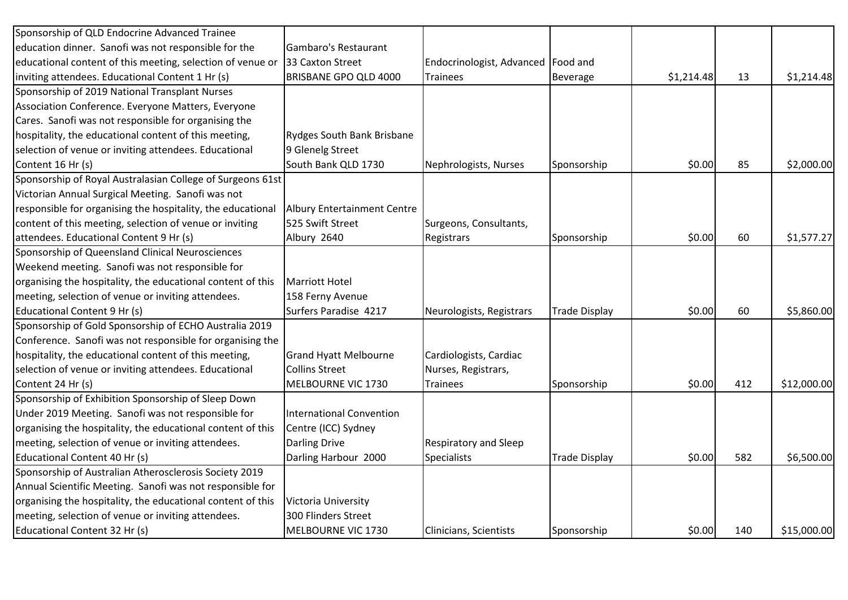| Sponsorship of QLD Endocrine Advanced Trainee               |                                    |                                      |                      |            |     |             |
|-------------------------------------------------------------|------------------------------------|--------------------------------------|----------------------|------------|-----|-------------|
| education dinner. Sanofi was not responsible for the        | Gambaro's Restaurant               |                                      |                      |            |     |             |
| educational content of this meeting, selection of venue or  | 33 Caxton Street                   | Endocrinologist, Advanced   Food and |                      |            |     |             |
| inviting attendees. Educational Content 1 Hr (s)            | BRISBANE GPO QLD 4000              | <b>Trainees</b>                      | Beverage             | \$1,214.48 | 13  | \$1,214.48  |
| Sponsorship of 2019 National Transplant Nurses              |                                    |                                      |                      |            |     |             |
| Association Conference. Everyone Matters, Everyone          |                                    |                                      |                      |            |     |             |
| Cares. Sanofi was not responsible for organising the        |                                    |                                      |                      |            |     |             |
| hospitality, the educational content of this meeting,       | <b>Rydges South Bank Brisbane</b>  |                                      |                      |            |     |             |
| selection of venue or inviting attendees. Educational       | 9 Glenelg Street                   |                                      |                      |            |     |             |
| Content 16 Hr (s)                                           | South Bank QLD 1730                | Nephrologists, Nurses                | Sponsorship          | \$0.00     | 85  | \$2,000.00  |
| Sponsorship of Royal Australasian College of Surgeons 61st  |                                    |                                      |                      |            |     |             |
| Victorian Annual Surgical Meeting. Sanofi was not           |                                    |                                      |                      |            |     |             |
| responsible for organising the hospitality, the educational | <b>Albury Entertainment Centre</b> |                                      |                      |            |     |             |
| content of this meeting, selection of venue or inviting     | 525 Swift Street                   | Surgeons, Consultants,               |                      |            |     |             |
| attendees. Educational Content 9 Hr (s)                     | Albury 2640                        | Registrars                           | Sponsorship          | \$0.00     | 60  | \$1,577.27  |
| Sponsorship of Queensland Clinical Neurosciences            |                                    |                                      |                      |            |     |             |
| Weekend meeting. Sanofi was not responsible for             |                                    |                                      |                      |            |     |             |
| organising the hospitality, the educational content of this | <b>Marriott Hotel</b>              |                                      |                      |            |     |             |
| meeting, selection of venue or inviting attendees.          | 158 Ferny Avenue                   |                                      |                      |            |     |             |
| Educational Content 9 Hr (s)                                | Surfers Paradise 4217              | Neurologists, Registrars             | <b>Trade Display</b> | \$0.00     | 60  | \$5,860.00  |
| Sponsorship of Gold Sponsorship of ECHO Australia 2019      |                                    |                                      |                      |            |     |             |
| Conference. Sanofi was not responsible for organising the   |                                    |                                      |                      |            |     |             |
| hospitality, the educational content of this meeting,       | <b>Grand Hyatt Melbourne</b>       | Cardiologists, Cardiac               |                      |            |     |             |
| selection of venue or inviting attendees. Educational       | <b>Collins Street</b>              | Nurses, Registrars,                  |                      |            |     |             |
| Content 24 Hr (s)                                           | MELBOURNE VIC 1730                 | Trainees                             | Sponsorship          | \$0.00     | 412 | \$12,000.00 |
| Sponsorship of Exhibition Sponsorship of Sleep Down         |                                    |                                      |                      |            |     |             |
| Under 2019 Meeting. Sanofi was not responsible for          | <b>International Convention</b>    |                                      |                      |            |     |             |
| organising the hospitality, the educational content of this | Centre (ICC) Sydney                |                                      |                      |            |     |             |
| meeting, selection of venue or inviting attendees.          | <b>Darling Drive</b>               | <b>Respiratory and Sleep</b>         |                      |            |     |             |
| Educational Content 40 Hr (s)                               | Darling Harbour 2000               | <b>Specialists</b>                   | <b>Trade Display</b> | \$0.00     | 582 | \$6,500.00  |
| Sponsorship of Australian Atherosclerosis Society 2019      |                                    |                                      |                      |            |     |             |
| Annual Scientific Meeting. Sanofi was not responsible for   |                                    |                                      |                      |            |     |             |
| organising the hospitality, the educational content of this | Victoria University                |                                      |                      |            |     |             |
| meeting, selection of venue or inviting attendees.          | 300 Flinders Street                |                                      |                      |            |     |             |
| Educational Content 32 Hr (s)                               | <b>MELBOURNE VIC 1730</b>          | Clinicians, Scientists               | Sponsorship          | \$0.00     | 140 | \$15,000.00 |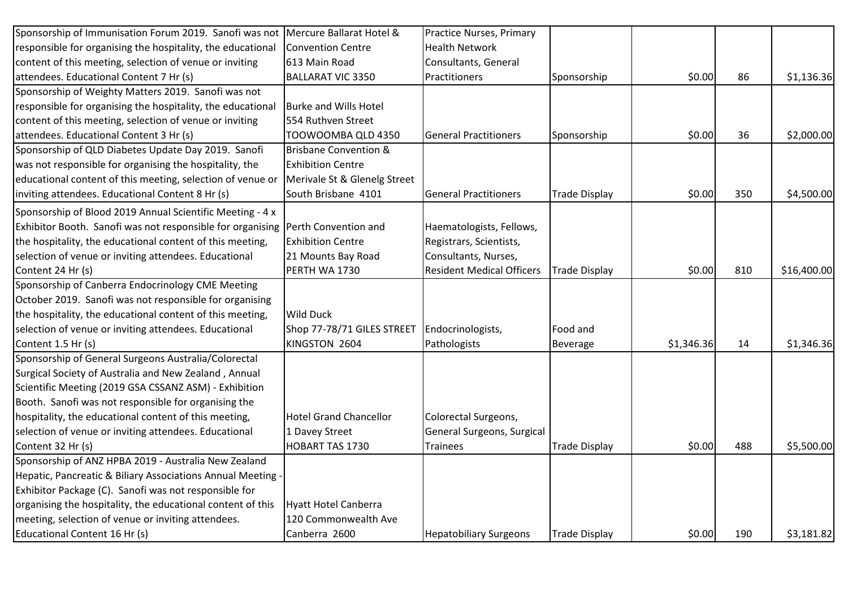| Sponsorship of Immunisation Forum 2019. Sanofi was not                          | Mercure Ballarat Hotel &         | Practice Nurses, Primary         |                      |            |     |             |
|---------------------------------------------------------------------------------|----------------------------------|----------------------------------|----------------------|------------|-----|-------------|
| responsible for organising the hospitality, the educational                     | <b>Convention Centre</b>         | <b>Health Network</b>            |                      |            |     |             |
| content of this meeting, selection of venue or inviting                         | 613 Main Road                    | Consultants, General             |                      |            |     |             |
| attendees. Educational Content 7 Hr (s)                                         | <b>BALLARAT VIC 3350</b>         | Practitioners                    | Sponsorship          | \$0.00     | 86  | \$1,136.36  |
| Sponsorship of Weighty Matters 2019. Sanofi was not                             |                                  |                                  |                      |            |     |             |
| responsible for organising the hospitality, the educational                     | <b>Burke and Wills Hotel</b>     |                                  |                      |            |     |             |
| content of this meeting, selection of venue or inviting                         | 554 Ruthven Street               |                                  |                      |            |     |             |
| attendees. Educational Content 3 Hr (s)                                         | TOOWOOMBA QLD 4350               | <b>General Practitioners</b>     | Sponsorship          | \$0.00     | 36  | \$2,000.00  |
| Sponsorship of QLD Diabetes Update Day 2019. Sanofi                             | <b>Brisbane Convention &amp;</b> |                                  |                      |            |     |             |
| was not responsible for organising the hospitality, the                         | <b>Exhibition Centre</b>         |                                  |                      |            |     |             |
| educational content of this meeting, selection of venue or                      | Merivale St & Glenelg Street     |                                  |                      |            |     |             |
| inviting attendees. Educational Content 8 Hr (s)                                | South Brisbane 4101              | <b>General Practitioners</b>     | <b>Trade Display</b> | \$0.00     | 350 | \$4,500.00  |
| Sponsorship of Blood 2019 Annual Scientific Meeting - 4 x                       |                                  |                                  |                      |            |     |             |
| Exhibitor Booth. Sanofi was not responsible for organising Perth Convention and |                                  | Haematologists, Fellows,         |                      |            |     |             |
| the hospitality, the educational content of this meeting,                       | <b>Exhibition Centre</b>         | Registrars, Scientists,          |                      |            |     |             |
| selection of venue or inviting attendees. Educational                           | 21 Mounts Bay Road               | Consultants, Nurses,             |                      |            |     |             |
| Content 24 Hr (s)                                                               | PERTH WA 1730                    | <b>Resident Medical Officers</b> | <b>Trade Display</b> | \$0.00     | 810 | \$16,400.00 |
| Sponsorship of Canberra Endocrinology CME Meeting                               |                                  |                                  |                      |            |     |             |
| October 2019. Sanofi was not responsible for organising                         |                                  |                                  |                      |            |     |             |
| the hospitality, the educational content of this meeting,                       | <b>Wild Duck</b>                 |                                  |                      |            |     |             |
| selection of venue or inviting attendees. Educational                           | Shop 77-78/71 GILES STREET       | Endocrinologists,                | Food and             |            |     |             |
| Content 1.5 Hr (s)                                                              | KINGSTON 2604                    | Pathologists                     | <b>Beverage</b>      | \$1,346.36 | 14  | \$1,346.36  |
| Sponsorship of General Surgeons Australia/Colorectal                            |                                  |                                  |                      |            |     |             |
| Surgical Society of Australia and New Zealand, Annual                           |                                  |                                  |                      |            |     |             |
| Scientific Meeting (2019 GSA CSSANZ ASM) - Exhibition                           |                                  |                                  |                      |            |     |             |
| Booth. Sanofi was not responsible for organising the                            |                                  |                                  |                      |            |     |             |
| hospitality, the educational content of this meeting,                           | <b>Hotel Grand Chancellor</b>    | Colorectal Surgeons,             |                      |            |     |             |
| selection of venue or inviting attendees. Educational                           | 1 Davey Street                   | General Surgeons, Surgical       |                      |            |     |             |
| Content 32 Hr (s)                                                               | HOBART TAS 1730                  | Trainees                         | <b>Trade Display</b> | \$0.00     | 488 | \$5,500.00  |
| Sponsorship of ANZ HPBA 2019 - Australia New Zealand                            |                                  |                                  |                      |            |     |             |
| Hepatic, Pancreatic & Biliary Associations Annual Meeting                       |                                  |                                  |                      |            |     |             |
| Exhibitor Package (C). Sanofi was not responsible for                           |                                  |                                  |                      |            |     |             |
| organising the hospitality, the educational content of this                     | <b>Hyatt Hotel Canberra</b>      |                                  |                      |            |     |             |
| meeting, selection of venue or inviting attendees.                              | 120 Commonwealth Ave             |                                  |                      |            |     |             |
| Educational Content 16 Hr (s)                                                   | Canberra 2600                    | <b>Hepatobiliary Surgeons</b>    | <b>Trade Display</b> | \$0.00     | 190 | \$3,181.82  |